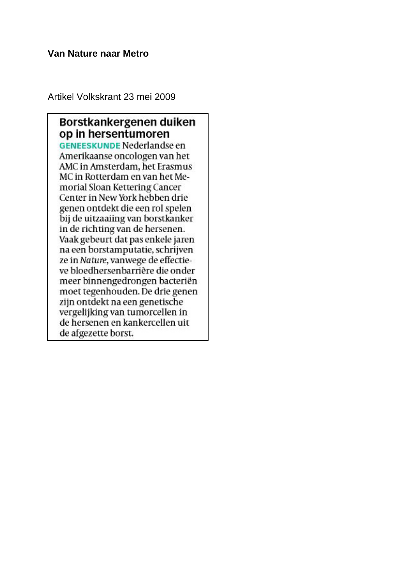### **Van Nature naar Metro**

Artikel Volkskrant 23 mei 2009

## Borstkankergenen duiken op in hersentumoren **GENEESKUNDE Nederlandse en** Amerikaanse oncologen van het AMC in Amsterdam, het Erasmus MC in Rotterdam en van het Memorial Sloan Kettering Cancer Center in New York hebben drie genen ontdekt die een rol spelen bij de uitzaaiing van borstkanker in de richting van de hersenen. Vaak gebeurt dat pas enkele jaren na een borstamputatie, schrijven ze in Nature, vanwege de effectieve bloedhersenbarrière die onder meer binnengedrongen bacteriën moet tegenhouden. De drie genen zijn ontdekt na een genetische vergelijking van tumorcellen in de hersenen en kankercellen uit de afgezette borst.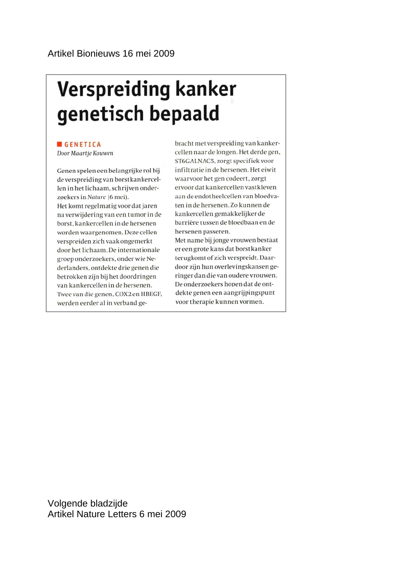# **Verspreiding kanker** genetisch bepaald

### **GENETICA**

Door Maartje Kouwen

Genen spelen een belangrijke rol bij de verspreiding van borstkankercellen in het lichaam, schrijven onderzoekers in Nature (6 mei). Het komt regelmatig voor dat jaren na verwijdering van een tumor in de borst, kankercellen in de hersenen worden waargenomen. Deze cellen verspreiden zich vaak ongemerkt door het lichaam. De internationale groep onderzoekers, onder wie Nederlanders, ontdekte drie genen die betrokken zijn bij het doordringen van kankercellen in de hersenen. Twee van die genen, COX2 en HBEGF, werden eerder al in verband gebracht met verspreiding van kankercellen naar de longen. Het derde gen, ST6GALNAC5, zorgt specifiek voor infiltratie in de hersenen. Het eiwit waarvoor het gen codeert, zorgt ervoor dat kankercellen vastkleven aan de endotheelcellen van bloedvaten in de hersenen. Zo kunnen de kankercellen gemakkelijker de barrière tussen de bloedbaan en de hersenen passeren. Met name bij jonge vrouwen bestaat

er een grote kans dat borstkanker terugkomt of zich verspreidt. Daardoor zijn hun overlevingskansen geringer dan die van oudere vrouwen. De onderzoekers hopen dat de ontdekte genen een aangrijpingspunt voor therapie kunnen vormen.

Volgende bladzijde Artikel Nature Letters 6 mei 2009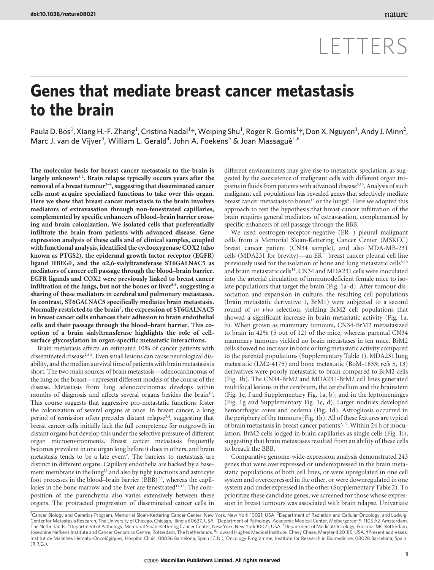# LETTERS

# Genes that mediate breast cancer metastasis to the brain

Paula D. Bos<sup>1</sup>, Xiang H.-F. Zhang<sup>1</sup>, Cristina Nadal<sup>1</sup>†, Weiping Shu<sup>1</sup>, Roger R. Gomis<sup>1</sup>†, Don X. Nguyen<sup>1</sup>, Andy J. Minn<sup>2</sup>, Marc J. van de Vijver<sup>3</sup>, William L. Gerald<sup>4</sup>, John A. Foekens<sup>5</sup> & Joan Massagué<sup>1,6</sup>

The molecular basis for breast cancer metastasis to the brain is largely unknown<sup>1,2</sup>. Brain relapse typically occurs years after the removal of a breast tumour<sup>2-4</sup>, suggesting that disseminated cancer cells must acquire specialized functions to take over this organ. Here we show that breast cancer metastasis to the brain involves mediators of extravasation through non-fenestrated capillaries, complemented by specific enhancers of blood–brain barrier crossing and brain colonization. We isolated cells that preferentially infiltrate the brain from patients with advanced disease. Gene expression analysis of these cells and of clinical samples, coupled with functional analysis, identified the cyclooxygenase COX2 (also known as PTGS2), the epidermal growth factor receptor (EGFR) ligand HBEGF, and the *a*2,6-sialyltransferase ST6GALNAC5 as mediators of cancer cell passage through the blood–brain barrier. EGFR ligands and COX2 were previously linked to breast cancer infiltration of the lungs, but not the bones or liver<sup>5,6</sup>, suggesting a sharing of these mediators in cerebral and pulmonary metastases. In contrast, ST6GALNAC5 specifically mediates brain metastasis. Normally restricted to the brain<sup>7</sup>, the expression of ST6GALNAC5 in breast cancer cells enhances their adhesion to brain endothelial cells and their passage through the blood–brain barrier. This cooption of a brain sialyltransferase highlights the role of cellsurface glycosylation in organ-specific metastatic interactions.

Brain metastasis affects an estimated 10% of cancer patients with disseminated disease<sup>2,8,9</sup>. Even small lesions can cause neurological disability, and the median survival time of patients with brain metastasis is short. The two main sources of brain metastasis—adenocarcinomas of the lung or the breast—represent different models of the course of the disease. Metastasis from lung adenocarcinomas develops within months of diagnosis and affects several organs besides the brain<sup>10</sup>. This course suggests that aggressive pro-metastatic functions foster the colonization of several organs at once. In breast cancer, a long period of remission often precedes distant relapse<sup>3,4</sup>, suggesting that breast cancer cells initially lack the full competence for outgrowth in distant organs but develop this under the selective pressure of different organ microenvironments. Breast cancer metastasis frequently becomes prevalent in one organ long before it does in others, and brain metastasis tends to be a late event<sup>2</sup>. The barriers to metastasis are distinct in different organs. Capillary endothelia are backed by a basement membrane in the lung<sup>11</sup> and also by tight junctions and astrocyte foot processes in the blood–brain barrier (BBB)<sup>2,8</sup>, whereas the capillaries in the bone marrow and the liver are fenestrated<sup>11,12</sup>. The composition of the parenchyma also varies extensively between these organs. The protracted progression of disseminated cancer cells in

different environments may give rise to metastatic speciation, as suggested by the coexistence of malignant cells with different organ tropisms in fluids from patients with advanced disease<sup>5,13</sup>. Analysis of such malignant cell populations has revealed genes that selectively mediate breast cancer metastasis to bones<sup>13</sup> or the lungs<sup>5</sup>. Here we adopted this approach to test the hypothesis that breast cancer infiltration of the brain requires general mediators of extravasation, complemented by specific enhancers of cell passage through the BBB.

We used oestrogen-receptor-negative  $(ER^{-})$  pleural malignant cells from a Memorial Sloan-Kettering Cancer Center (MSKCC) breast cancer patient (CN34 sample), and also MDA-MB-231 cells (MDA231 for brevity)—an  $ER^-$  breast cancer pleural cell line previously used for the isolation of bone and lung metastatic cells<sup>5,13</sup> and brain metastatic cells $14$ . CN34 and MDA231 cells were inoculated into the arterial circulation of immunodeficient female mice to isolate populations that target the brain (Fig. 1a–d). After tumour dissociation and expansion in culture, the resulting cell populations (brain metastatic derivative 1, BrM1) were subjected to a second round of in vivo selection, yielding BrM2 cell populations that showed a significant increase in brain metastatic activity (Fig. 1a, b). When grown as mammary tumours, CN34-BrM2 metastasized to brain in 42% (5 out of 12) of the mice, whereas parental CN34 mammary tumours yielded no brain metastases in ten mice. BrM2 cells showed no increase in bone or lung metastatic activity compared to the parental populations (Supplementary Table 1). MDA231 lung metastatic (LM2-4175) and bone metastatic (BoM-1833; refs 5, 13) derivatives were poorly metastatic to brain compared to BrM2 cells (Fig. 1b). The CN34-BrM2 and MDA231-BrM2 cell lines generated multifocal lesions in the cerebrum, the cerebellum and the brainstem (Fig. 1e, f and Supplementary Fig. 1a, b), and in the leptomeninges (Fig. 1g and Supplementary Fig. 1c, d). Larger nodules developed hemorrhagic cores and oedema (Fig. 1d). Astrogliosis occurred in the periphery of the tumours (Fig. 1h). All of these features are typical of brain metastasis in breast cancer patients<sup>2,15</sup>. Within 24 h of inoculation, BrM2 cells lodged in brain capillaries as single cells (Fig. 1i), suggesting that brain metastases resulted from an ability of these cells to breach the BBB.

Comparative genome-wide expression analysis demonstrated 243 genes that were overexpressed or underexpressed in the brain metastatic populations of both cell lines, or were upregulated in one cell system and overexpressed in the other, or were downregulated in one system and underexpressed in the other (Supplementary Table 2). To prioritize these candidate genes, we screened for those whose expression in breast tumours was associated with brain relapse. Univariate

<sup>1</sup>Cancer Biology and Genetics Program, Memorial Sloan-Kettering Cancer Center, New York, New York 10021, USA. <sup>2</sup>Department of Radiation and Cellular Oncology, and Ludwig<br>Center for Metastasis Research, The University of The Netherlands. <sup>4</sup>Department of Pathology, Memorial Sloan-Kettering Cancer Center, New York, New York 10021, USA. <sup>5</sup>Department of Medical Oncology, Erasmus MC Rotterdam, Josephine Nefkens Institute and Cancer Genomics Centre, Rotterdam, The Netherlands. <sup>6</sup>Howard Hughes Medical Institute, Chevy Chase, Maryland 20185, USA. †Present addresses:<br>Institut de Malalties Hemato-Oncològiques, Hospi (R.R.G.).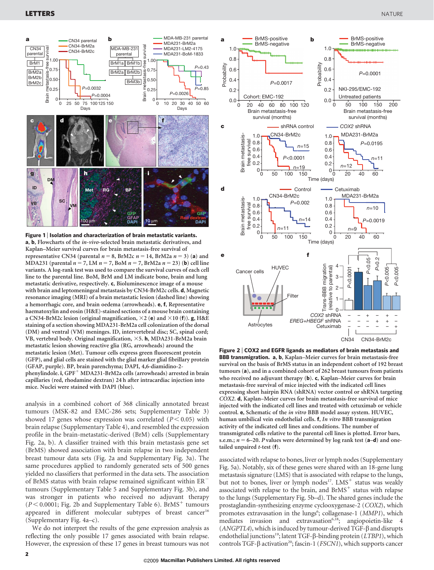

Figure 1 | Isolation and characterization of brain metastatic variants. a, b, Flowcharts of the in-vivo-selected brain metastatic derivatives, and Kaplan–Meier survival curves for brain metastasis-free survival of representative CN34 (parental  $n = 8$ , BrM2c  $n = 14$ , BrM2a  $n = 3$ ) (a) and MDA231 (parental  $n = 7$ , LM  $n = 7$ , BoM  $n = 7$ , BrM2a  $n = 23$ ) (**b**) cell line variants. A log-rank test was used to compare the survival curves of each cell line to the parental line. BoM, BrM and LM indicate bone, brain and lung metastatic derivative, respectively. c, Bioluminescence image of a mouse with brain and leptomeningeal metastasis by CN34-BrM2c cells. d, Magnetic resonance imaging (MRI) of a brain metastatic lesion (dashed line) showing a hemorrhagic core, and brain oedema (arrowheads). e, f, Representative haematoxylin and eosin (H&E)-stained sections of a mouse brain containing a CN34-BrM2c lesion (original magnification,  $\times$ 2 (e) and  $\times$ 10 (f)). g, H&E staining of a section showing MDA231-BrM2a cell colonization of the dorsal (DM) and ventral (VM) meninges. ID, intervertebral disc; SC, spinal cord; VB, vertebral body. Original magnification,  $\times$ 5. h, MDA231-BrM2a brain metastatic lesion showing reactive glia (RG, arrowheads) around the metastatic lesion (Met). Tumour cells express green fluorescent protein (GFP), and glial cells are stained with the glial marker glial fibrillary protein (GFAP, purple). BP, brain parenchyma; DAPI, 4,6-diamidino-2 phenylindole. i,  $GPF^+$  MDA231-BrM2a cells (arrowheads) arrested in brain capillaries (red, rhodamine dextran) 24 h after intracardiac injection into mice. Nuclei were stained with DAPI (blue).

analysis in a combined cohort of 368 clinically annotated breast tumours (MSK-82 and EMC-286 sets; Supplementary Table 3) showed 17 genes whose expression was correlated  $(P < 0.05)$  with brain relapse (Supplementary Table 4), and resembled the expression profile in the brain-metastatic-derived (BrM) cells (Supplementary Fig. 2a, b). A classifier trained with this brain metastasis gene set (BrMS) showed association with brain relapse in two independent breast tumour data sets (Fig. 2a and Supplementary Fig. 3a). The same procedures applied to randomly generated sets of 500 genes yielded no classifiers that performed in the data sets. The association of BrMS status with brain relapse remained significant within ER<sup>-</sup> tumours (Supplementary Table 5 and Supplementary Fig. 3b), and was stronger in patients who received no adjuvant therapy  $(P< 0.0001$ ; Fig. 2b and Supplementary Table 6). BrMS<sup>+</sup> tumours appeared in different molecular subtypes of breast cancer<sup>16</sup> (Supplementary Fig. 4a–c).

We do not interpret the results of the gene expression analysis as reflecting the only possible 17 genes associated with brain relapse. However, the expression of these 17 genes in breast tumours was not



Figure 2 <sup>|</sup> COX2 and EGFR ligands as mediators of brain metastasis and BBB transmigration. a, b, Kaplan–Meier curves for brain metastasis-free survival on the basis of BrMS status in an independent cohort of 192 breast tumours (a), and in a combined cohort of 262 breast tumours from patients who received no adjuvant therapy (b). c, Kaplan–Meier curves for brain metastasis-free survival of mice injected with the indicated cell lines expressing short hairpin RNA (shRNA) vector control or shRNA targeting COX2. d, Kaplan–Meier curves for brain metastasis-free survival of mice injected with the indicated cell lines and treated with cetuximab or vehicle control. e, Schematic of the in vitro BBB model assay system. HUVEC, human umbilical vein endothelial cells. f, In vitro BBB transmigration activity of the indicated cell lines and conditions. The number of transmigrated cells relative to the parental cell lines is plotted. Error bars, s.e.m.;  $n = 6-20$ . P values were determined by log rank test ( $a-d$ ) and onetailed unpaired  $t$ -test  $(f)$ .

associated with relapse to bones, liver or lymph nodes (Supplementary Fig. 5a). Notably, six of these genes were shared with an 18-gene lung metastasis signature (LMS) that is associated with relapse to the lungs, but not to bones, liver or lymph nodes<sup>17</sup>. LMS<sup>+</sup> status was weakly associated with relapse to the brain, and  $BrMS<sup>+</sup>$  status with relapse to the lungs (Supplementary Fig. 5b–d). The shared genes include the prostaglandin-synthesizing enzyme cyclooxygenase-2 (COX2), which promotes extravasation in the lungs<sup>6</sup>; collagenase-1 (MMP1), which mediates invasion and extravasation<sup>6,18</sup>; angiopoietin-like 4  $(ANGPTL4)$ , which is induced by tumour-derived TGF- $\beta$  and disrupts endothelial junctions<sup>19</sup>; latent TGF- $\beta$ -binding protein (*LTBP1*), which controls TGF- $\beta$  activation<sup>20</sup>; fascin-1 (FSCN1), which supports cancer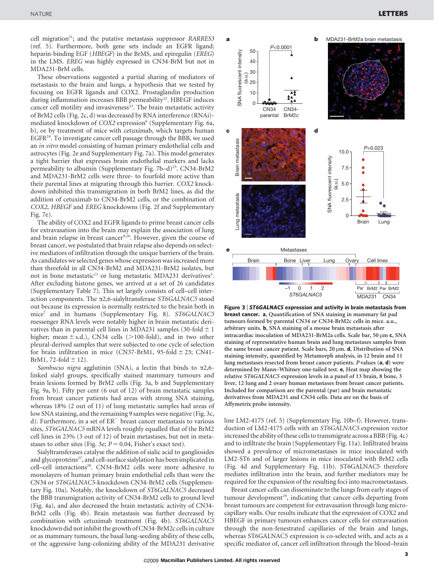cell migration<sup>21</sup>; and the putative metastasis suppressor RARRES3 (ref. 5). Furthermore, both gene sets include an EGFR ligand: heparin-binding EGF (HBEGF) in the BrMS, and epiregulin (EREG) in the LMS. EREG was highly expressed in CN34-BrM but not in MDA231-BrM cells.

These observations suggested a partial sharing of mediators of metastasis to the brain and lungs, a hypothesis that we tested by focusing on EGFR ligands and COX2. Prostaglandin production during inflammation increases BBB permeability<sup>22</sup>. HBEGF induces cancer cell motility and invasiveness<sup>23</sup>. The brain metastatic activity of BrM2 cells (Fig. 2c, d) was decreased by RNA interference (RNAi) mediated knockdown of COX2 expression<sup>6</sup> (Supplementary Fig. 6a, b), or by treatment of mice with cetuximab, which targets human EGFR24. To investigate cancer cell passage through the BBB, we used an in vitro model consisting of human primary endothelial cells and astrocytes (Fig. 2e and Supplementary Fig. 7a). This model generates a tight barrier that expresses brain endothelial markers and lacks permeability to albumin (Supplementary Fig.  $7b-d$ )<sup>25</sup>. CN34-BrM2 and MDA231-BrM2 cells were three- to fourfold more active than their parental lines at migrating through this barrier. COX2 knockdown inhibited this transmigration in both BrM2 lines, as did the addition of cetuximab to CN34-BrM2 cells, or the combination of COX2, HBEGF and EREG knockdowns (Fig. 2f and Supplementary Fig. 7e).

The ability of COX2 and EGFR ligands to prime breast cancer cells for extravasation into the brain may explain the association of lung and brain relapse in breast cancer<sup>9,26</sup>. However, given the course of breast cancer, we postulated that brain relapse also depends on selective mediators of infiltration through the unique barriers of the brain. As candidates we selected genes whose expression was increased more than threefold in all CN34-BrM2 and MDA231-BrM2 isolates, but not in bone metastatic<sup>13</sup> or lung metastatic MDA231 derivatives<sup>5</sup>. After excluding histone genes, we arrived at a set of 26 candidates (Supplementary Table 7). This set largely consists of cell–cell interaction components. The  $\alpha$ 2,6-sialyltransferase ST6GALNAC5 stood out because its expression is normally restricted to the brain both in mice<sup>7</sup> and in humans (Supplementary Fig. 8). ST6GALNAC5 messenger RNA levels were notably higher in brain metastatic derivatives than in parental cell lines in MDA231 samples (30-fold  $\pm$  1 higher; mean  $\pm$  s.d.), CN34 cells ( $>$ 100-fold), and in two other pleural-derived samples that were subjected to one cycle of selection for brain infiltration in mice (CN37-BrM1, 95-fold  $\pm$  23; CN41-BrM1, 72-fold  $\pm$  12).

Sambucus nigra agglutinin (SNA), a lectin that binds to  $\alpha$ 2,6linked sialyl groups, specifically stained mammary tumours and brain lesions formed by BrM2 cells (Fig. 3a, b and Supplementary Fig. 9a, b). Fifty per cent (6 out of 12) of brain metastatic samples from breast cancer patients had areas with strong SNA staining, whereas 18% (2 out of 11) of lung metastatic samples had areas of low SNA staining, and the remaining 9 samples were negative (Fig. 3c, d). Furthermore, in a set of  $ER$ <sup>-</sup> breast cancer metastasis to various sites, ST6GALNAC5 mRNA levels roughly equalled that of the BrM2 cell lines in 23% (3 out of 12) of brain metastases, but not in metastases to other sites (Fig. 3e;  $P = 0.04$ , Fisher's exact test).

Sialyltransferases catalyse the addition of sialic acid to gangliosides and glycoproteins<sup>27</sup>, and cell-surface sialylation has been implicated in cell-cell interactions<sup>28</sup>. CN34-BrM2 cells were more adhesive to monolayers of human primary brain endothelial cells than were the CN34 or ST6GALNAC5-knockdown CN34-BrM2 cells (Supplementary Fig. 10a). Notably, the knockdown of ST6GALNAC5 decreased the BBB transmigration activity of CN34-BrM2 cells to ground level (Fig. 4a), and also decreased the brain metastatic activity of CN34- BrM2 cells (Fig. 4b). Brain metastasis was further decreased by combination with cetuximab treatment (Fig. 4b). ST6GALNAC5 knockdown did not inhibit the growth of CN34-BrM2c cells in culture or as mammary tumours, the basal lung-seeding ability of these cells, or the aggressive lung-colonizing ability of the MDA231 derivative



Figure 3 <sup>|</sup> ST6GALNAC5 expression and activity in brain metastasis from breast cancer. a, Quantification of SNA staining in mammary fat pad tumours formed by parental CN34 or CN34-BrM2c cells in mice. a.u., arbitrary units. b, SNA staining of a mouse brain metastasis after intracardiac inoculation of MDA231-BrM2a cells. Scale bar, 50 µm c, SNA staining of representative human brain and lung metastases samples from the same breast cancer patient. Scale bars,  $20 \mu m$ . **d**, Distribution of SNA staining intensity, quantified by Metamorph analysis, in 12 brain and 11 lung metastases resected from breast cancer patients. P values (a, d) were determined by Mann–Whitney one-tailed test. e, Heat map showing the relative ST6GALNAC5 expression levels in a panel of 13 brain, 8 bone, 3 liver, 12 lung and 2 ovary human metastases from breast cancer patients. Included for comparison are the parental (par) and brain metastatic derivatives from MDA231 and CN34 cells. Data are on the basis of Affymetrix probe intensity.

line LM2-4175 (ref. 5) (Supplementary Fig. 10b–f). However, transduction of LM2-4175 cells with an ST6GALNAC5 expression vector increased the ability of these cells to transmigrate across a BBB (Fig. 4c) and to infiltrate the brain (Supplementary Fig. 11a). Infiltrated brains showed a prevalence of micrometastases in mice inoculated with LM2-ST6 and of larger lesions in mice inoculated with BrM2 cells (Fig. 4d and Supplementary Fig. 11b). ST6GALNAC5 therefore mediates infiltration into the brain, and further mediators may be required for the expansion of the resulting foci into macrometastases.

Breast cancer cells can disseminate to the lungs from early stages of tumour development<sup>29</sup>, indicating that cancer cells departing from breast tumours are competent for extravasation through lung microcapillary walls. Our results indicate that the expression of COX2 and HBEGF in primary tumours enhances cancer cells for extravasation through the non-fenestrated capillaries of the brain and lungs, whereas ST6GALNAC5 expression is co-selected with, and acts as a specific mediator of, cancer cell infiltration through the blood–brain